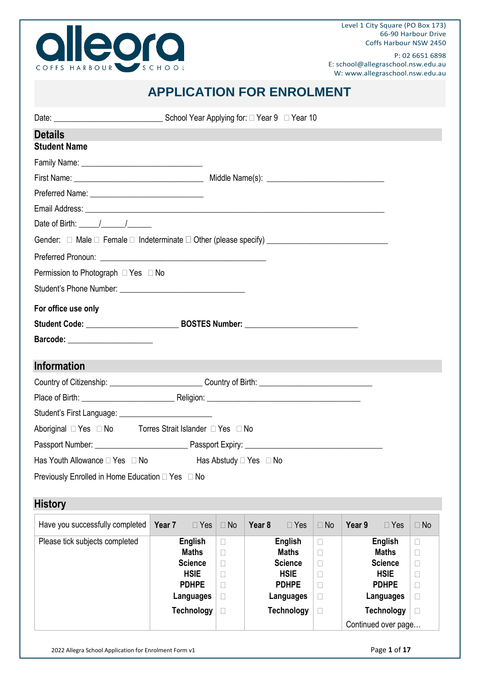

Level 1 City Square (PO Box 173) 66-90 Harbour Drive Coffs Harbour NSW 2450

P: 02 6651 6898 E: school@allegraschool.nsw.edu.au W: www.allegraschool.nsw.edu.au

### **APPLICATION FOR ENROLMENT**

| <b>Details</b>                                                                                                 |                                  |                  |        |                                  |                  |        |                                |                  |
|----------------------------------------------------------------------------------------------------------------|----------------------------------|------------------|--------|----------------------------------|------------------|--------|--------------------------------|------------------|
| <b>Student Name</b>                                                                                            |                                  |                  |        |                                  |                  |        |                                |                  |
|                                                                                                                |                                  |                  |        |                                  |                  |        |                                |                  |
|                                                                                                                |                                  |                  |        |                                  |                  |        |                                |                  |
|                                                                                                                |                                  |                  |        |                                  |                  |        |                                |                  |
|                                                                                                                |                                  |                  |        |                                  |                  |        |                                |                  |
| Date of Birth: $\frac{1}{\sqrt{2}}$                                                                            |                                  |                  |        |                                  |                  |        |                                |                  |
| Gender: □ Male □ Female □ Indeterminate □ Other (please specify) _ _ _ _ _ _ _ _ _ _ _ _ _ _ _ _ _ _           |                                  |                  |        |                                  |                  |        |                                |                  |
|                                                                                                                |                                  |                  |        |                                  |                  |        |                                |                  |
| Permission to Photograph $\Box$ Yes $\Box$ No                                                                  |                                  |                  |        |                                  |                  |        |                                |                  |
|                                                                                                                |                                  |                  |        |                                  |                  |        |                                |                  |
| For office use only                                                                                            |                                  |                  |        |                                  |                  |        |                                |                  |
|                                                                                                                |                                  |                  |        |                                  |                  |        |                                |                  |
| Barcode: ______________________                                                                                |                                  |                  |        |                                  |                  |        |                                |                  |
|                                                                                                                |                                  |                  |        |                                  |                  |        |                                |                  |
| <b>Information</b>                                                                                             |                                  |                  |        |                                  |                  |        |                                |                  |
| Country of Citizenship: _________________________________Country of Birth: ___________________________________ |                                  |                  |        |                                  |                  |        |                                |                  |
|                                                                                                                |                                  |                  |        |                                  |                  |        |                                |                  |
|                                                                                                                |                                  |                  |        |                                  |                  |        |                                |                  |
| Aboriginal □ Yes □ No Torres Strait Islander □ Yes □ No                                                        |                                  |                  |        |                                  |                  |        |                                |                  |
|                                                                                                                |                                  |                  |        |                                  |                  |        |                                |                  |
| Has Youth Allowance $\Box$ Yes $\Box$ No $\Box$ Has Abstudy $\Box$ Yes $\Box$ No                               |                                  |                  |        |                                  |                  |        |                                |                  |
| Previously Enrolled in Home Education □ Yes □ No                                                               |                                  |                  |        |                                  |                  |        |                                |                  |
|                                                                                                                |                                  |                  |        |                                  |                  |        |                                |                  |
| <b>History</b>                                                                                                 |                                  |                  |        |                                  |                  |        |                                |                  |
| Have you successfully completed                                                                                | $\square$ Yes<br>Year 7          | $\Box$ No        | Year 8 | $\square$ Yes                    | $\Box$ No        | Year 9 | $\Box$ Yes                     | $\Box$ No        |
| Please tick subjects completed                                                                                 | <b>English</b>                   | $\Box$           |        | <b>English</b>                   | $\Box$           |        | <b>English</b>                 | $\Box$           |
|                                                                                                                | <b>Maths</b><br><b>Science</b>   | $\Box$<br>$\Box$ |        | <b>Maths</b><br><b>Science</b>   | $\Box$<br>$\Box$ |        | <b>Maths</b><br><b>Science</b> | П<br>$\Box$      |
|                                                                                                                | <b>HSIE</b>                      | $\Box$           |        | <b>HSIE</b>                      | $\Box$           |        | <b>HSIE</b>                    | $\Box$           |
|                                                                                                                | <b>PDHPE</b><br><b>Languages</b> | $\Box$<br>$\Box$ |        | <b>PDHPE</b><br><b>Languages</b> | $\Box$           |        | <b>PDHPE</b><br>Languages      | $\Box$           |
|                                                                                                                | <b>Technology</b>                | $\Box$           |        | <b>Technology</b>                | $\Box$<br>$\Box$ |        | <b>Technology</b>              | $\Box$<br>$\Box$ |
|                                                                                                                |                                  |                  |        |                                  |                  |        | Continued over page            |                  |
|                                                                                                                |                                  |                  |        |                                  |                  |        |                                |                  |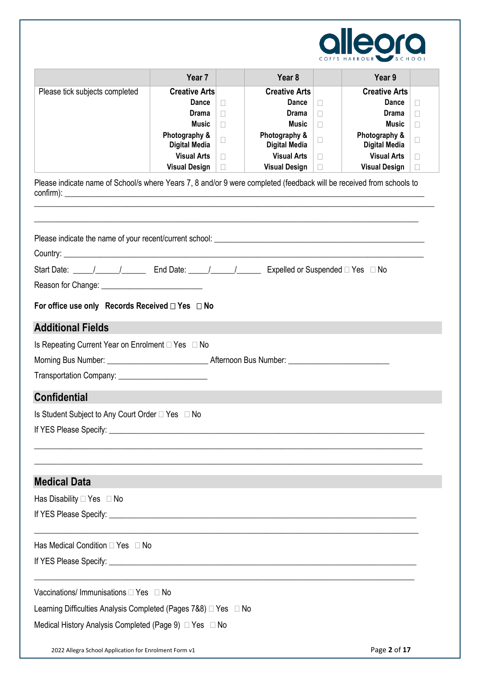

|                                                                                                                                                                     | Year 7                                                                                                                                               |                            | Year 8                                                                                                                                                      |                                                | Year 9                                                                                                                                               |                                 |
|---------------------------------------------------------------------------------------------------------------------------------------------------------------------|------------------------------------------------------------------------------------------------------------------------------------------------------|----------------------------|-------------------------------------------------------------------------------------------------------------------------------------------------------------|------------------------------------------------|------------------------------------------------------------------------------------------------------------------------------------------------------|---------------------------------|
| Please tick subjects completed                                                                                                                                      | <b>Creative Arts</b><br><b>Dance</b><br>Drama<br><b>Music</b><br>Photography &<br><b>Digital Media</b><br><b>Visual Arts</b><br><b>Visual Design</b> | П<br>П<br>П<br>□<br>П<br>П | <b>Creative Arts</b><br><b>Dance</b><br><b>Drama</b><br><b>Music</b><br>Photography &<br><b>Digital Media</b><br><b>Visual Arts</b><br><b>Visual Design</b> | П<br>П<br>$\Box$<br>$\Box$<br>$\Box$<br>$\Box$ | <b>Creative Arts</b><br>Dance<br><b>Drama</b><br><b>Music</b><br>Photography &<br><b>Digital Media</b><br><b>Visual Arts</b><br><b>Visual Design</b> | П<br>П<br>П<br>□<br>П<br>$\Box$ |
| Please indicate name of School/s where Years 7, 8 and/or 9 were completed (feedback will be received from schools to<br>$\text{confirm}$ :                          |                                                                                                                                                      |                            |                                                                                                                                                             |                                                |                                                                                                                                                      |                                 |
|                                                                                                                                                                     |                                                                                                                                                      |                            |                                                                                                                                                             |                                                |                                                                                                                                                      |                                 |
| Start Date: _____/_________________ End Date: _____/__________________ Expelled or Suspended □ Yes □ No                                                             |                                                                                                                                                      |                            |                                                                                                                                                             |                                                |                                                                                                                                                      |                                 |
| For office use only Records Received $\Box$ Yes $\Box$ No                                                                                                           |                                                                                                                                                      |                            |                                                                                                                                                             |                                                |                                                                                                                                                      |                                 |
| <b>Additional Fields</b><br>Is Repeating Current Year on Enrolment $\Box$ Yes $\Box$ No<br><b>Confidential</b>                                                      |                                                                                                                                                      |                            |                                                                                                                                                             |                                                |                                                                                                                                                      |                                 |
| Is Student Subject to Any Court Order □ Yes □ No                                                                                                                    |                                                                                                                                                      |                            |                                                                                                                                                             |                                                |                                                                                                                                                      |                                 |
| <b>Medical Data</b>                                                                                                                                                 |                                                                                                                                                      |                            |                                                                                                                                                             |                                                |                                                                                                                                                      |                                 |
| Has Disability □ Yes □ No                                                                                                                                           |                                                                                                                                                      |                            |                                                                                                                                                             |                                                |                                                                                                                                                      |                                 |
| Has Medical Condition □ Yes □ No                                                                                                                                    |                                                                                                                                                      |                            |                                                                                                                                                             |                                                |                                                                                                                                                      |                                 |
| Vaccinations/ Immunisations □ Yes □ No<br>Learning Difficulties Analysis Completed (Pages 7&8) □ Yes □ No<br>Medical History Analysis Completed (Page 9) □ Yes □ No |                                                                                                                                                      |                            |                                                                                                                                                             |                                                |                                                                                                                                                      |                                 |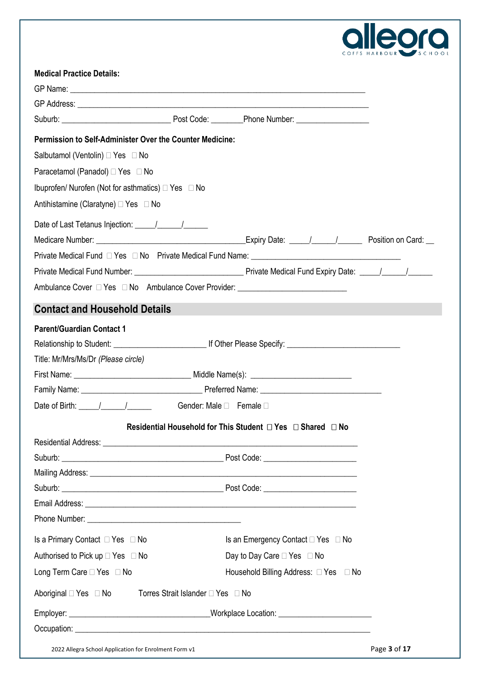

| <b>Medical Practice Details:</b>                                                                                                                                                                                               |                                                                           |                                       |  |
|--------------------------------------------------------------------------------------------------------------------------------------------------------------------------------------------------------------------------------|---------------------------------------------------------------------------|---------------------------------------|--|
|                                                                                                                                                                                                                                |                                                                           |                                       |  |
|                                                                                                                                                                                                                                |                                                                           |                                       |  |
|                                                                                                                                                                                                                                |                                                                           |                                       |  |
| Permission to Self-Administer Over the Counter Medicine:                                                                                                                                                                       |                                                                           |                                       |  |
| Salbutamol (Ventolin) □ Yes □ No                                                                                                                                                                                               |                                                                           |                                       |  |
| Paracetamol (Panadol) □ Yes □ No                                                                                                                                                                                               |                                                                           |                                       |  |
| Ibuprofen/ Nurofen (Not for asthmatics) □ Yes □ No                                                                                                                                                                             |                                                                           |                                       |  |
| Antihistamine (Claratyne) □ Yes □ No                                                                                                                                                                                           |                                                                           |                                       |  |
|                                                                                                                                                                                                                                |                                                                           |                                       |  |
|                                                                                                                                                                                                                                |                                                                           |                                       |  |
|                                                                                                                                                                                                                                |                                                                           |                                       |  |
|                                                                                                                                                                                                                                |                                                                           |                                       |  |
| Ambulance Cover □ Yes □ No Ambulance Cover Provider: ___________________________                                                                                                                                               |                                                                           |                                       |  |
| <b>Contact and Household Details</b>                                                                                                                                                                                           |                                                                           |                                       |  |
| <b>Parent/Guardian Contact 1</b>                                                                                                                                                                                               |                                                                           |                                       |  |
|                                                                                                                                                                                                                                |                                                                           |                                       |  |
| Title: Mr/Mrs/Ms/Dr (Please circle)                                                                                                                                                                                            |                                                                           |                                       |  |
|                                                                                                                                                                                                                                |                                                                           |                                       |  |
|                                                                                                                                                                                                                                |                                                                           |                                       |  |
| Date of Birth: $\frac{1}{\sqrt{1-\frac{1}{2}}}\left  \frac{1}{\sqrt{1-\frac{1}{2}}}\right $                                                                                                                                    | Gender: Male □ Female □                                                   |                                       |  |
|                                                                                                                                                                                                                                | Residential Household for This Student $\Box$ Yes $\Box$ Shared $\Box$ No |                                       |  |
|                                                                                                                                                                                                                                |                                                                           |                                       |  |
|                                                                                                                                                                                                                                |                                                                           |                                       |  |
| Mailing Address: Universe of the Address of the Address of the Address of the Address of the Address of the Address of the Address of the Address of the Address of the Address of the Address of the Address of the Address o |                                                                           |                                       |  |
|                                                                                                                                                                                                                                |                                                                           |                                       |  |
|                                                                                                                                                                                                                                |                                                                           |                                       |  |
|                                                                                                                                                                                                                                |                                                                           |                                       |  |
| Is a Primary Contact $\Box$ Yes $\Box$ No                                                                                                                                                                                      |                                                                           | Is an Emergency Contact □ Yes □ No    |  |
| Authorised to Pick up $\Box$ Yes $\Box$ No                                                                                                                                                                                     |                                                                           | Day to Day Care □ Yes □ No            |  |
| Long Term Care □ Yes □ No                                                                                                                                                                                                      |                                                                           | Household Billing Address: □ Yes □ No |  |
| Aboriginal $\Box$ Yes $\Box$ No                                                                                                                                                                                                | Torres Strait Islander □ Yes □ No                                         |                                       |  |
|                                                                                                                                                                                                                                |                                                                           |                                       |  |
|                                                                                                                                                                                                                                |                                                                           |                                       |  |
|                                                                                                                                                                                                                                |                                                                           |                                       |  |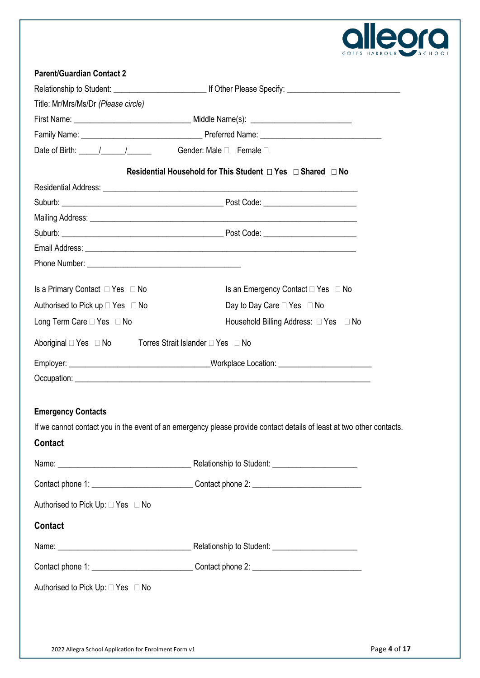

| <b>Parent/Guardian Contact 2</b>                    |                                                                                                                                                                                                                                      |  |  |  |
|-----------------------------------------------------|--------------------------------------------------------------------------------------------------------------------------------------------------------------------------------------------------------------------------------------|--|--|--|
|                                                     |                                                                                                                                                                                                                                      |  |  |  |
| Title: Mr/Mrs/Ms/Dr (Please circle)                 |                                                                                                                                                                                                                                      |  |  |  |
|                                                     |                                                                                                                                                                                                                                      |  |  |  |
|                                                     |                                                                                                                                                                                                                                      |  |  |  |
| Date of Birth: / / / Gender: Male □ Female □        |                                                                                                                                                                                                                                      |  |  |  |
|                                                     | Residential Household for This Student □ Yes □ Shared □ No                                                                                                                                                                           |  |  |  |
|                                                     |                                                                                                                                                                                                                                      |  |  |  |
|                                                     |                                                                                                                                                                                                                                      |  |  |  |
|                                                     |                                                                                                                                                                                                                                      |  |  |  |
|                                                     |                                                                                                                                                                                                                                      |  |  |  |
|                                                     |                                                                                                                                                                                                                                      |  |  |  |
|                                                     |                                                                                                                                                                                                                                      |  |  |  |
| Is a Primary Contact $\Box$ Yes $\Box$ No           | Is an Emergency Contact $\Box$ Yes $\Box$ No                                                                                                                                                                                         |  |  |  |
| Authorised to Pick up $\Box$ Yes $\Box$ No          | Day to Day Care □ Yes □ No                                                                                                                                                                                                           |  |  |  |
| Long Term Care □ Yes □ No                           | Household Billing Address: □ Yes □ No                                                                                                                                                                                                |  |  |  |
| Aboriginal DYes DNo Torres Strait Islander DYes DNo |                                                                                                                                                                                                                                      |  |  |  |
|                                                     |                                                                                                                                                                                                                                      |  |  |  |
|                                                     | Occupation: <u>contract the contract of the contract of the contract of the contract of the contract of the contract of the contract of the contract of the contract of the contract of the contract of the contract of the cont</u> |  |  |  |
| <b>Emergency Contacts</b>                           |                                                                                                                                                                                                                                      |  |  |  |
|                                                     | If we cannot contact you in the event of an emergency please provide contact details of least at two other contacts.                                                                                                                 |  |  |  |
| Contact                                             |                                                                                                                                                                                                                                      |  |  |  |
|                                                     |                                                                                                                                                                                                                                      |  |  |  |
|                                                     | Contact phone 1: __________________________________Contact phone 2: ________________________________                                                                                                                                 |  |  |  |
| Authorised to Pick Up: □ Yes □ No                   |                                                                                                                                                                                                                                      |  |  |  |
| Contact                                             |                                                                                                                                                                                                                                      |  |  |  |
|                                                     |                                                                                                                                                                                                                                      |  |  |  |
|                                                     | Contact phone 1: __________________________________Contact phone 2: ________________________________                                                                                                                                 |  |  |  |
| Authorised to Pick Up: □ Yes □ No                   |                                                                                                                                                                                                                                      |  |  |  |
|                                                     |                                                                                                                                                                                                                                      |  |  |  |
|                                                     |                                                                                                                                                                                                                                      |  |  |  |
|                                                     |                                                                                                                                                                                                                                      |  |  |  |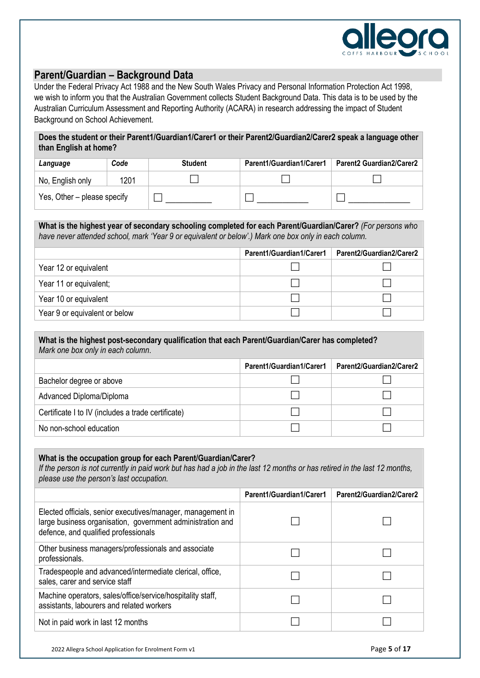

#### **Parent/Guardian – Background Data**

Under the Federal Privacy Act 1988 and the New South Wales Privacy and Personal Information Protection Act 1998, we wish to inform you that the Australian Government collects Student Background Data. This data is to be used by the Australian Curriculum Assessment and Reporting Authority (ACARA) in research addressing the impact of Student Background on School Achievement.

| Does the student or their Parent1/Guardian1/Carer1 or their Parent2/Guardian2/Carer2 speak a language other |  |
|-------------------------------------------------------------------------------------------------------------|--|
| than English at home?                                                                                       |  |

| Language                    | Code | <b>Student</b> | Parent1/Guardian1/Carer1 | Parent2 Guardian2/Carer2 |
|-----------------------------|------|----------------|--------------------------|--------------------------|
| No, English only            | 1201 |                |                          |                          |
| Yes, Other – please specify |      |                |                          |                          |

**What is the highest year of secondary schooling completed for each Parent/Guardian/Carer?** *(For persons who have never attended school, mark 'Year 9 or equivalent or below'.) Mark one box only in each column.* 

|                               | Parent1/Guardian1/Carer1 | Parent2/Guardian2/Carer2 |
|-------------------------------|--------------------------|--------------------------|
| Year 12 or equivalent         |                          |                          |
| Year 11 or equivalent;        |                          |                          |
| Year 10 or equivalent         |                          |                          |
| Year 9 or equivalent or below |                          |                          |

#### **What is the highest post-secondary qualification that each Parent/Guardian/Carer has completed?**  *Mark one box only in each column*.

|                                                    | Parent1/Guardian1/Carer1 | Parent2/Guardian2/Carer2 |
|----------------------------------------------------|--------------------------|--------------------------|
| Bachelor degree or above                           |                          |                          |
| Advanced Diploma/Diploma                           |                          |                          |
| Certificate I to IV (includes a trade certificate) |                          |                          |
| No non-school education                            |                          |                          |

#### **What is the occupation group for each Parent/Guardian/Carer?**

*If the person is not currently in paid work but has had a job in the last 12 months or has retired in the last 12 months, please use the person's last occupation.* 

|                                                                                                                                                                   | Parent1/Guardian1/Carer1 | Parent2/Guardian2/Carer2 |
|-------------------------------------------------------------------------------------------------------------------------------------------------------------------|--------------------------|--------------------------|
| Elected officials, senior executives/manager, management in<br>large business organisation, government administration and<br>defence, and qualified professionals |                          |                          |
| Other business managers/professionals and associate<br>professionals.                                                                                             |                          |                          |
| Tradespeople and advanced/intermediate clerical, office,<br>sales, carer and service staff                                                                        |                          |                          |
| Machine operators, sales/office/service/hospitality staff,<br>assistants, labourers and related workers                                                           |                          |                          |
| Not in paid work in last 12 months                                                                                                                                |                          |                          |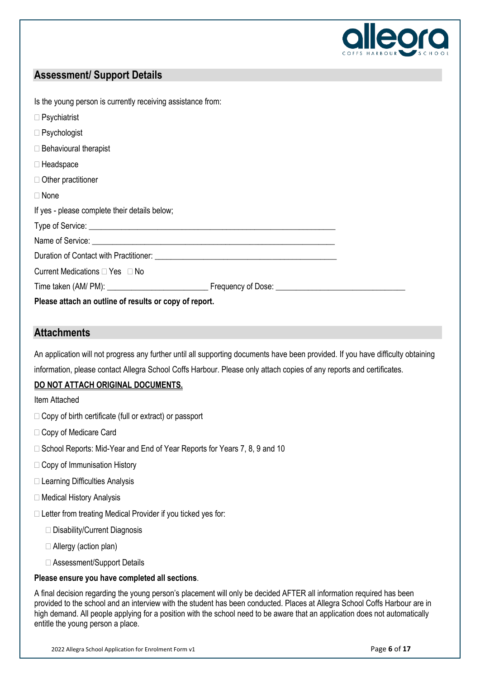

### **Assessment/ Support Details**

| Is the young person is currently receiving assistance from: |  |
|-------------------------------------------------------------|--|
| $\Box$ Psychiatrist                                         |  |
| $\Box$ Psychologist                                         |  |
| $\Box$ Behavioural therapist                                |  |
| $\Box$ Headspace                                            |  |
| $\Box$ Other practitioner                                   |  |
| $\Box$ None                                                 |  |
| If yes - please complete their details below;               |  |
|                                                             |  |
|                                                             |  |
|                                                             |  |
| Current Medications $\Box$ Yes $\Box$ No                    |  |
|                                                             |  |
| Please attach an outline of results or copy of report.      |  |

### **Attachments**

An application will not progress any further until all supporting documents have been provided. If you have difficulty obtaining information, please contact Allegra School Coffs Harbour. Please only attach copies of any reports and certificates.

#### **DO NOT ATTACH ORIGINAL DOCUMENTS.**

Item Attached

- $\Box$  Copy of birth certificate (full or extract) or passport
- □ Copy of Medicare Card
- □ School Reports: Mid-Year and End of Year Reports for Years 7, 8, 9 and 10
- □ Copy of Immunisation History
- □ Learning Difficulties Analysis
- □ Medical History Analysis
- $\Box$  Letter from treating Medical Provider if you ticked yes for:
	- □ Disability/Current Diagnosis
	- Allergy (action plan)
	- □ Assessment/Support Details

#### **Please ensure you have completed all sections**.

A final decision regarding the young person's placement will only be decided AFTER all information required has been provided to the school and an interview with the student has been conducted. Places at Allegra School Coffs Harbour are in high demand. All people applying for a position with the school need to be aware that an application does not automatically entitle the young person a place.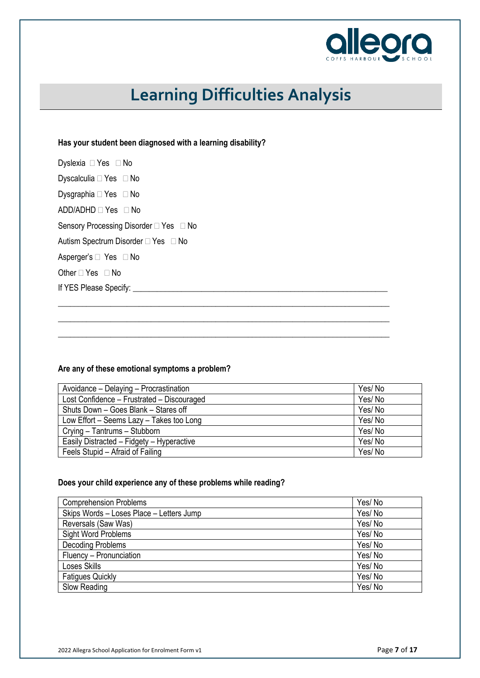

# **Learning Difficulties Analysis**

#### **Has your student been diagnosed with a learning disability?**

| Dyslexia □ Yes □ No                    |  |
|----------------------------------------|--|
| Dyscalculia □ Yes □ No                 |  |
| Dysgraphia $\Box$ Yes $\Box$ No        |  |
| $ADD/ADHD \square Yes \square No$      |  |
| Sensory Processing Disorder □ Yes □ No |  |
| Autism Spectrum Disorder □ Yes □ No    |  |
| Asperger's □ Yes □ No                  |  |
| Other $\Box$ Yes $\Box$ No             |  |
| If YES Please Specify:                 |  |

#### **Are any of these emotional symptoms a problem?**

| Avoidance - Delaying - Procrastination     | Yes/No |
|--------------------------------------------|--------|
| Lost Confidence - Frustrated - Discouraged | Yes/No |
| Shuts Down - Goes Blank - Stares off       | Yes/No |
| Low Effort - Seems Lazy - Takes too Long   | Yes/No |
| Crying - Tantrums - Stubborn               | Yes/No |
| Easily Distracted - Fidgety - Hyperactive  | Yes/No |
| Feels Stupid – Afraid of Failing           | Yes/No |

\_\_\_\_\_\_\_\_\_\_\_\_\_\_\_\_\_\_\_\_\_\_\_\_\_\_\_\_\_\_\_\_\_\_\_\_\_\_\_\_\_\_\_\_\_\_\_\_\_\_\_\_\_\_\_\_\_\_\_\_\_\_\_\_\_\_\_\_\_\_\_\_\_\_\_\_\_\_\_\_\_\_ \_\_\_\_\_\_\_\_\_\_\_\_\_\_\_\_\_\_\_\_\_\_\_\_\_\_\_\_\_\_\_\_\_\_\_\_\_\_\_\_\_\_\_\_\_\_\_\_\_\_\_\_\_\_\_\_\_\_\_\_\_\_\_\_\_\_\_\_\_\_\_\_\_\_\_\_\_\_\_\_\_\_ \_\_\_\_\_\_\_\_\_\_\_\_\_\_\_\_\_\_\_\_\_\_\_\_\_\_\_\_\_\_\_\_\_\_\_\_\_\_\_\_\_\_\_\_\_\_\_\_\_\_\_\_\_\_\_\_\_\_\_\_\_\_\_\_\_\_\_\_\_\_\_\_\_\_\_\_\_\_\_\_\_\_

#### **Does your child experience any of these problems while reading?**

| <b>Comprehension Problems</b>            | Yes/No |
|------------------------------------------|--------|
| Skips Words - Loses Place - Letters Jump | Yes/No |
| Reversals (Saw Was)                      | Yes/No |
| Sight Word Problems                      | Yes/No |
| <b>Decoding Problems</b>                 | Yes/No |
| Fluency - Pronunciation                  | Yes/No |
| Loses Skills                             | Yes/No |
| <b>Fatigues Quickly</b>                  | Yes/No |
| Slow Reading                             | Yes/No |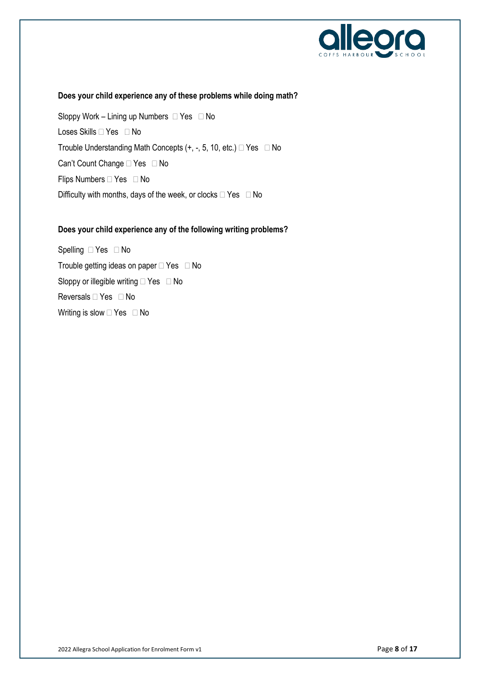

#### **Does your child experience any of these problems while doing math?**

Sloppy Work – Lining up Numbers  $\Box$  Yes  $\Box$  No Loses Skills <sup>Nes</sup> D No Trouble Understanding Math Concepts  $(+, -, 5, 10, etc.) \square$  Yes  $\square$  No Can't Count Change  $\Box$  Yes  $\Box$  No Flips Numbers  $\Box$  Yes  $\Box$  No Difficulty with months, days of the week, or clocks  $\Box$  Yes  $\Box$  No

#### **Does your child experience any of the following writing problems?**

Spelling  $\Box$  Yes  $\Box$  No Trouble getting ideas on paper  $\Box$  Yes  $\Box$  No Sloppy or illegible writing  $\Box$  Yes  $\Box$  No Reversals  $\Box$  Yes  $\Box$  No Writing is slow  $\Box$  Yes  $\Box$  No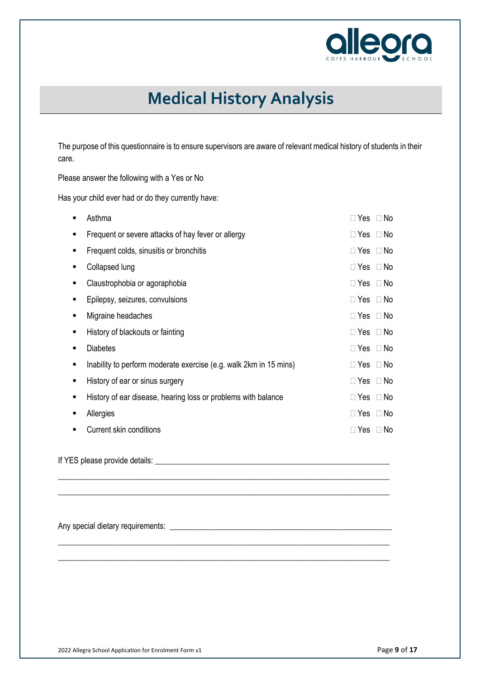

## **Medical History Analysis**

The purpose of this questionnaire is to ensure supervisors are aware of relevant medical history of students in their care.

Please answer the following with a Yes or No

Has your child ever had or do they currently have:

| Asthma                                                            | $\Box$ Yes $\Box$ No |               |
|-------------------------------------------------------------------|----------------------|---------------|
| Frequent or severe attacks of hay fever or allergy                | $\Box$ Yes $\Box$ No |               |
| Frequent colds, sinusitis or bronchitis                           | $\Box$ Yes $\Box$ No |               |
| Collapsed lung                                                    | $\Box$ Yes $\Box$ No |               |
| Claustrophobia or agoraphobia                                     | $\Box$ Yes $\Box$ No |               |
| Epilepsy, seizures, convulsions                                   | $\Box$ Yes $\Box$ No |               |
| Migraine headaches                                                | $\Box$ Yes $\Box$ No |               |
| History of blackouts or fainting                                  | $\Box$ Yes $\Box$ No |               |
| <b>Diabetes</b>                                                   | $\Box$ Yes $\Box$ No |               |
| Inability to perform moderate exercise (e.g. walk 2km in 15 mins) | $\Box$ Yes $\Box$ No |               |
| History of ear or sinus surgery                                   | $\Box$ Yes $\Box$ No |               |
| History of ear disease, hearing loss or problems with balance     | $\Box$ Yes $\Box$ No |               |
| Allergies                                                         | $\Box$ Yes $\Box$ No |               |
| Current skin conditions                                           | $\Box$ Yes           | No.<br>$\Box$ |
|                                                                   |                      |               |

\_\_\_\_\_\_\_\_\_\_\_\_\_\_\_\_\_\_\_\_\_\_\_\_\_\_\_\_\_\_\_\_\_\_\_\_\_\_\_\_\_\_\_\_\_\_\_\_\_\_\_\_\_\_\_\_\_\_\_\_\_\_\_\_\_\_\_\_\_\_\_\_\_\_\_\_\_\_\_\_\_\_ \_\_\_\_\_\_\_\_\_\_\_\_\_\_\_\_\_\_\_\_\_\_\_\_\_\_\_\_\_\_\_\_\_\_\_\_\_\_\_\_\_\_\_\_\_\_\_\_\_\_\_\_\_\_\_\_\_\_\_\_\_\_\_\_\_\_\_\_\_\_\_\_\_\_\_\_\_\_\_\_\_\_

\_\_\_\_\_\_\_\_\_\_\_\_\_\_\_\_\_\_\_\_\_\_\_\_\_\_\_\_\_\_\_\_\_\_\_\_\_\_\_\_\_\_\_\_\_\_\_\_\_\_\_\_\_\_\_\_\_\_\_\_\_\_\_\_\_\_\_\_\_\_\_\_\_\_\_\_\_\_\_\_\_\_ \_\_\_\_\_\_\_\_\_\_\_\_\_\_\_\_\_\_\_\_\_\_\_\_\_\_\_\_\_\_\_\_\_\_\_\_\_\_\_\_\_\_\_\_\_\_\_\_\_\_\_\_\_\_\_\_\_\_\_\_\_\_\_\_\_\_\_\_\_\_\_\_\_\_\_\_\_\_\_\_\_\_

If YES please provide details: **We are all that the set of the set of the set of the set of the set of the set o** 

Any special dietary requirements: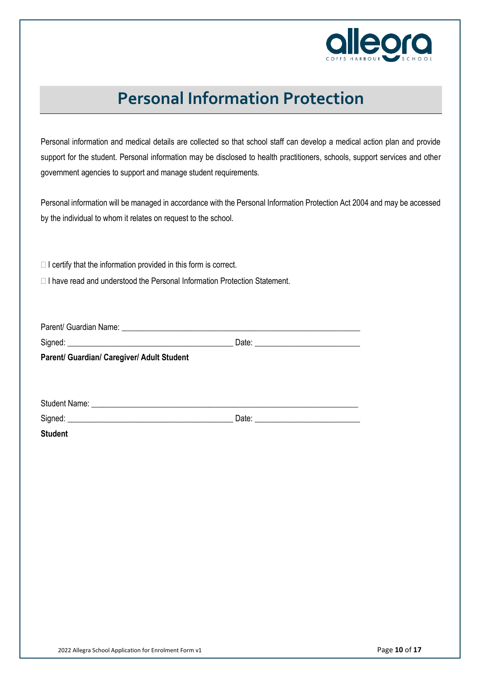

### **Personal Information Protection**

Personal information and medical details are collected so that school staff can develop a medical action plan and provide support for the student. Personal information may be disclosed to health practitioners, schools, support services and other government agencies to support and manage student requirements.

Personal information will be managed in accordance with the Personal Information Protection Act 2004 and may be accessed by the individual to whom it relates on request to the school.

 $\Box$  I certify that the information provided in this form is correct.

 $\Box$  I have read and understood the Personal Information Protection Statement.

| Parent/ Guardian/ Caregiver/ Adult Student                                                                                                                                                                                     |       |  |
|--------------------------------------------------------------------------------------------------------------------------------------------------------------------------------------------------------------------------------|-------|--|
|                                                                                                                                                                                                                                |       |  |
|                                                                                                                                                                                                                                |       |  |
| Student Name: Name: Name and Student Name and Student Name and Student Name and Student Name and Student Name and Student Name and Student Name and Student Name and Student Name and Student Name and Student Name and Studen |       |  |
| Signed:                                                                                                                                                                                                                        | Date: |  |

**Student**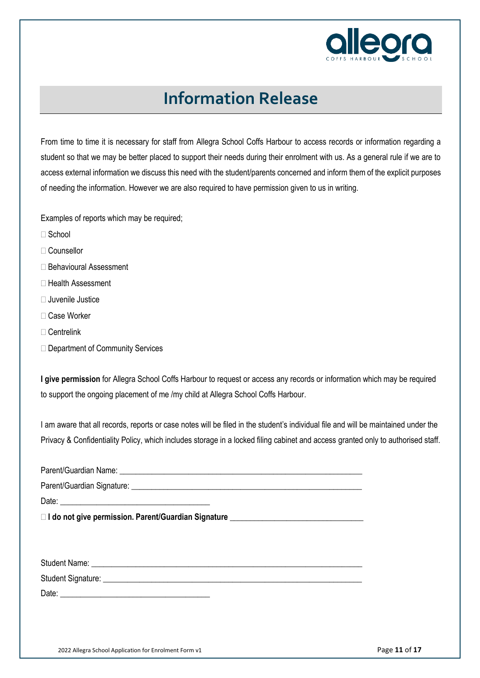

### **Information Release**

From time to time it is necessary for staff from Allegra School Coffs Harbour to access records or information regarding a student so that we may be better placed to support their needs during their enrolment with us. As a general rule if we are to access external information we discuss this need with the student/parents concerned and inform them of the explicit purposes of needing the information. However we are also required to have permission given to us in writing.

Examples of reports which may be required;

- School
- Counsellor
- □ Behavioural Assessment
- □ Health Assessment
- $\Box$  Juvenile Justice
- Case Worker
- Centrelink
- □ Department of Community Services

**I give permission** for Allegra School Coffs Harbour to request or access any records or information which may be required to support the ongoing placement of me /my child at Allegra School Coffs Harbour.

I am aware that all records, reports or case notes will be filed in the student's individual file and will be maintained under the Privacy & Confidentiality Policy, which includes storage in a locked filing cabinet and access granted only to authorised staff.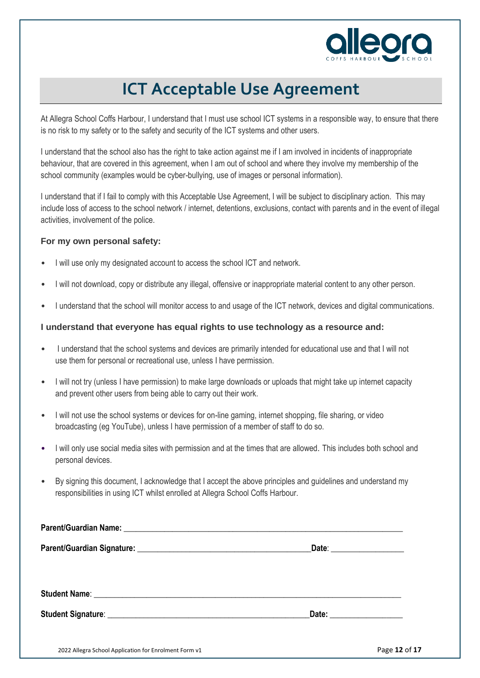

### **ICT Acceptable Use Agreement**

At Allegra School Coffs Harbour, I understand that I must use school ICT systems in a responsible way, to ensure that there is no risk to my safety or to the safety and security of the ICT systems and other users.

I understand that the school also has the right to take action against me if I am involved in incidents of inappropriate behaviour, that are covered in this agreement, when I am out of school and where they involve my membership of the school community (examples would be cyber-bullying, use of images or personal information).

I understand that if I fail to comply with this Acceptable Use Agreement, I will be subject to disciplinary action. This may include loss of access to the school network / internet, detentions, exclusions, contact with parents and in the event of illegal activities, involvement of the police.

#### **For my own personal safety:**

- I will use only my designated account to access the school ICT and network.
- I will not download, copy or distribute any illegal, offensive or inappropriate material content to any other person.
- I understand that the school will monitor access to and usage of the ICT network, devices and digital communications.

#### **I understand that everyone has equal rights to use technology as a resource and:**

- I understand that the school systems and devices are primarily intended for educational use and that I will not use them for personal or recreational use, unless I have permission.
- I will not try (unless I have permission) to make large downloads or uploads that might take up internet capacity and prevent other users from being able to carry out their work.
- I will not use the school systems or devices for on-line gaming, internet shopping, file sharing, or video broadcasting (eg YouTube), unless I have permission of a member of staff to do so.
- I will only use social media sites with permission and at the times that are allowed. This includes both school and personal devices.
- By signing this document, I acknowledge that I accept the above principles and guidelines and understand my responsibilities in using ICT whilst enrolled at Allegra School Coffs Harbour.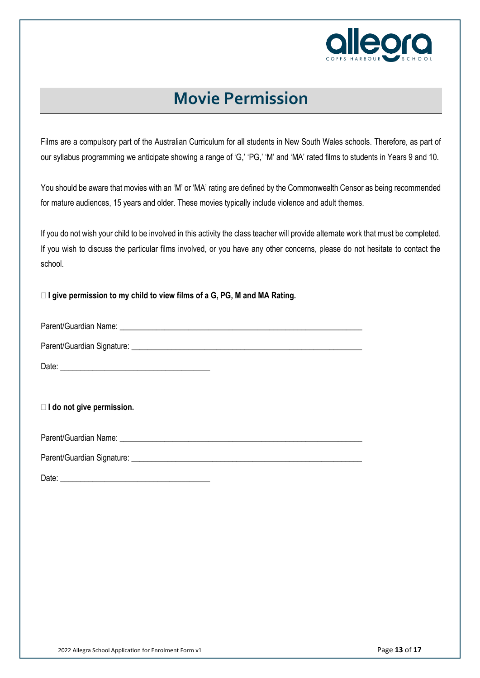

### **Movie Permission**

Films are a compulsory part of the Australian Curriculum for all students in New South Wales schools. Therefore, as part of our syllabus programming we anticipate showing a range of 'G,' 'PG,' 'M' and 'MA' rated films to students in Years 9 and 10.

You should be aware that movies with an 'M' or 'MA' rating are defined by the Commonwealth Censor as being recommended for mature audiences, 15 years and older. These movies typically include violence and adult themes.

If you do not wish your child to be involved in this activity the class teacher will provide alternate work that must be completed. If you wish to discuss the particular films involved, or you have any other concerns, please do not hesitate to contact the school.

**I give permission to my child to view films of a G, PG, M and MA Rating.**

Parent/Guardian Name: \_\_\_\_\_\_\_\_\_\_\_\_\_\_\_\_\_\_\_\_\_\_\_\_\_\_\_\_\_\_\_\_\_\_\_\_\_\_\_\_\_\_\_\_\_\_\_\_\_\_\_\_\_\_\_\_\_\_\_\_

Parent/Guardian Signature: \_\_\_\_\_\_\_\_\_\_\_\_\_\_\_\_\_\_\_\_\_\_\_\_\_\_\_\_\_\_\_\_\_\_\_\_\_\_\_\_\_\_\_\_\_\_\_\_\_\_\_\_\_\_\_\_\_

Date:

**I do not give permission.**

Parent/Guardian Name: **Example 2018** 

Parent/Guardian Signature: **Example 2018** 

Date:  $\Box$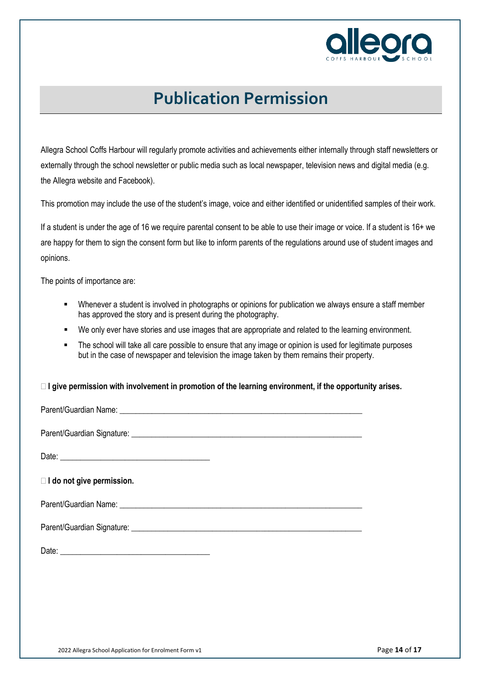

### **Publication Permission**

Allegra School Coffs Harbour will regularly promote activities and achievements either internally through staff newsletters or externally through the school newsletter or public media such as local newspaper, television news and digital media (e.g. the Allegra website and Facebook).

This promotion may include the use of the student's image, voice and either identified or unidentified samples of their work.

If a student is under the age of 16 we require parental consent to be able to use their image or voice. If a student is 16+ we are happy for them to sign the consent form but like to inform parents of the regulations around use of student images and opinions.

The points of importance are:

- Whenever a student is involved in photographs or opinions for publication we always ensure a staff member has approved the story and is present during the photography.
- We only ever have stories and use images that are appropriate and related to the learning environment.
- The school will take all care possible to ensure that any image or opinion is used for legitimate purposes but in the case of newspaper and television the image taken by them remains their property.

**I give permission with involvement in promotion of the learning environment, if the opportunity arises.**

Parent/Guardian Name: **Example 2018** 

Parent/Guardian Signature: \_\_\_\_\_\_\_\_\_\_\_\_\_\_\_\_\_\_\_\_\_\_\_\_\_\_\_\_\_\_\_\_\_\_\_\_\_\_\_\_\_\_\_\_\_\_\_\_\_\_\_\_\_\_\_\_\_

Date: \_\_\_\_\_\_\_\_\_\_\_\_\_\_\_\_\_\_\_\_\_\_\_\_\_\_\_\_\_\_\_\_\_\_\_\_\_

**I do not give permission.** 

Parent/Guardian Name: **Example 2018** 

| Parent/Guardian Signature: |  |
|----------------------------|--|
|                            |  |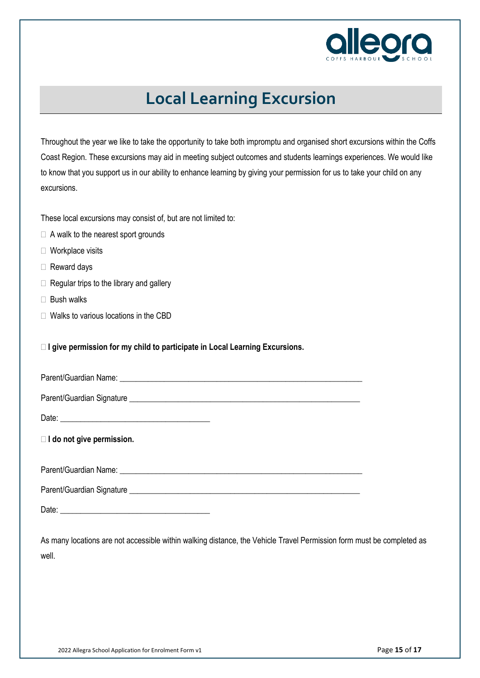

### **Local Learning Excursion**

Throughout the year we like to take the opportunity to take both impromptu and organised short excursions within the Coffs Coast Region. These excursions may aid in meeting subject outcomes and students learnings experiences. We would like to know that you support us in our ability to enhance learning by giving your permission for us to take your child on any excursions.

These local excursions may consist of, but are not limited to:

- $\Box$  A walk to the nearest sport grounds
- □ Workplace visits
- □ Reward days
- $\Box$  Regular trips to the library and gallery
- $\Box$  Bush walks
- □ Walks to various locations in the CBD

**I give permission for my child to participate in Local Learning Excursions.**

| I do not give permission. |  |
|---------------------------|--|
|                           |  |
|                           |  |
|                           |  |

As many locations are not accessible within walking distance, the Vehicle Travel Permission form must be completed as well.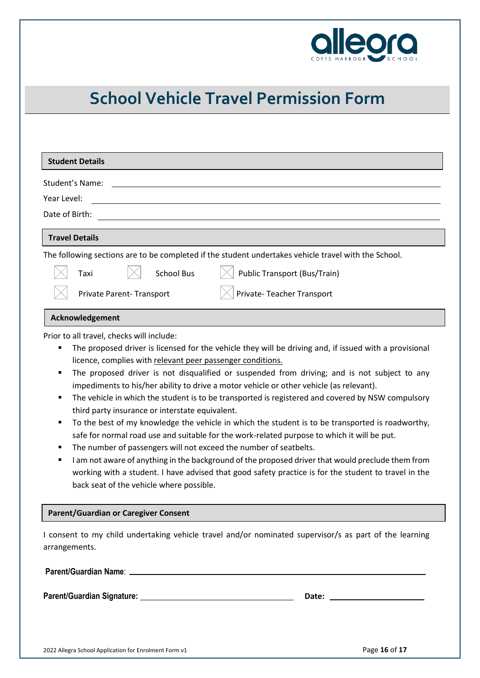

## **School Vehicle Travel Permission Form**

| Student's Name:<br>Year Level:<br>Date of Birth:<br><b>Travel Details</b><br>The following sections are to be completed if the student undertakes vehicle travel with the School.<br><b>School Bus</b><br><b>Public Transport (Bus/Train)</b><br>Taxi<br>Private-Teacher Transport<br>Private Parent-Transport<br>Acknowledgement<br>Prior to all travel, checks will include:<br>The proposed driver is licensed for the vehicle they will be driving and, if issued with a provisional<br>٠<br>licence, complies with relevant peer passenger conditions.<br>The proposed driver is not disqualified or suspended from driving; and is not subject to any<br>٠<br>impediments to his/her ability to drive a motor vehicle or other vehicle (as relevant).<br>The vehicle in which the student is to be transported is registered and covered by NSW compulsory<br>٠<br>third party insurance or interstate equivalent.<br>To the best of my knowledge the vehicle in which the student is to be transported is roadworthy,<br>٠<br>safe for normal road use and suitable for the work-related purpose to which it will be put.<br>The number of passengers will not exceed the number of seatbelts.<br>٠<br>I am not aware of anything in the background of the proposed driver that would preclude them from<br>٠<br>working with a student. I have advised that good safety practice is for the student to travel in the<br>back seat of the vehicle where possible.<br><b>Parent/Guardian or Caregiver Consent</b><br>I consent to my child undertaking vehicle travel and/or nominated supervisor/s as part of the learning<br>arrangements. | <b>Student Details</b> |
|----------------------------------------------------------------------------------------------------------------------------------------------------------------------------------------------------------------------------------------------------------------------------------------------------------------------------------------------------------------------------------------------------------------------------------------------------------------------------------------------------------------------------------------------------------------------------------------------------------------------------------------------------------------------------------------------------------------------------------------------------------------------------------------------------------------------------------------------------------------------------------------------------------------------------------------------------------------------------------------------------------------------------------------------------------------------------------------------------------------------------------------------------------------------------------------------------------------------------------------------------------------------------------------------------------------------------------------------------------------------------------------------------------------------------------------------------------------------------------------------------------------------------------------------------------------------------------------------------------------------------------------------------|------------------------|
|                                                                                                                                                                                                                                                                                                                                                                                                                                                                                                                                                                                                                                                                                                                                                                                                                                                                                                                                                                                                                                                                                                                                                                                                                                                                                                                                                                                                                                                                                                                                                                                                                                                    |                        |
|                                                                                                                                                                                                                                                                                                                                                                                                                                                                                                                                                                                                                                                                                                                                                                                                                                                                                                                                                                                                                                                                                                                                                                                                                                                                                                                                                                                                                                                                                                                                                                                                                                                    |                        |
|                                                                                                                                                                                                                                                                                                                                                                                                                                                                                                                                                                                                                                                                                                                                                                                                                                                                                                                                                                                                                                                                                                                                                                                                                                                                                                                                                                                                                                                                                                                                                                                                                                                    |                        |
|                                                                                                                                                                                                                                                                                                                                                                                                                                                                                                                                                                                                                                                                                                                                                                                                                                                                                                                                                                                                                                                                                                                                                                                                                                                                                                                                                                                                                                                                                                                                                                                                                                                    |                        |
|                                                                                                                                                                                                                                                                                                                                                                                                                                                                                                                                                                                                                                                                                                                                                                                                                                                                                                                                                                                                                                                                                                                                                                                                                                                                                                                                                                                                                                                                                                                                                                                                                                                    |                        |
|                                                                                                                                                                                                                                                                                                                                                                                                                                                                                                                                                                                                                                                                                                                                                                                                                                                                                                                                                                                                                                                                                                                                                                                                                                                                                                                                                                                                                                                                                                                                                                                                                                                    |                        |
|                                                                                                                                                                                                                                                                                                                                                                                                                                                                                                                                                                                                                                                                                                                                                                                                                                                                                                                                                                                                                                                                                                                                                                                                                                                                                                                                                                                                                                                                                                                                                                                                                                                    |                        |
|                                                                                                                                                                                                                                                                                                                                                                                                                                                                                                                                                                                                                                                                                                                                                                                                                                                                                                                                                                                                                                                                                                                                                                                                                                                                                                                                                                                                                                                                                                                                                                                                                                                    |                        |
|                                                                                                                                                                                                                                                                                                                                                                                                                                                                                                                                                                                                                                                                                                                                                                                                                                                                                                                                                                                                                                                                                                                                                                                                                                                                                                                                                                                                                                                                                                                                                                                                                                                    |                        |
|                                                                                                                                                                                                                                                                                                                                                                                                                                                                                                                                                                                                                                                                                                                                                                                                                                                                                                                                                                                                                                                                                                                                                                                                                                                                                                                                                                                                                                                                                                                                                                                                                                                    |                        |